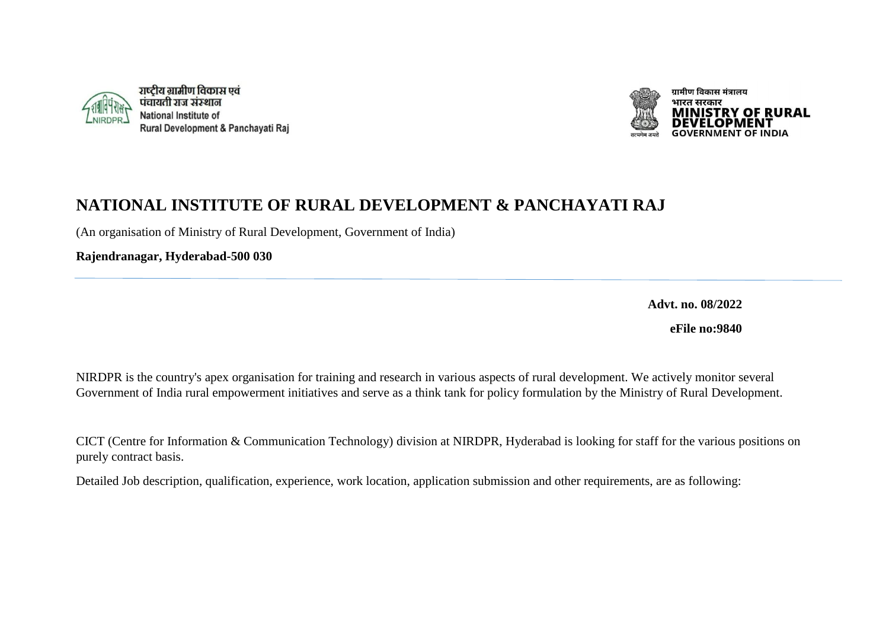



## **NATIONAL INSTITUTE OF RURAL DEVELOPMENT & PANCHAYATI RAJ**

(An organisation of Ministry of Rural Development, Government of India)

**Rajendranagar, Hyderabad-500 030**

**Advt. no. 08/2022**

**eFile no:9840**

NIRDPR is the country's apex organisation for training and research in various aspects of rural development. We actively monitor several Government of India rural empowerment initiatives and serve as a think tank for policy formulation by the Ministry of Rural Development.

CICT (Centre for Information & Communication Technology) division at NIRDPR, Hyderabad is looking for staff for the various positions on purely contract basis.

Detailed Job description, qualification, experience, work location, application submission and other requirements, are as following: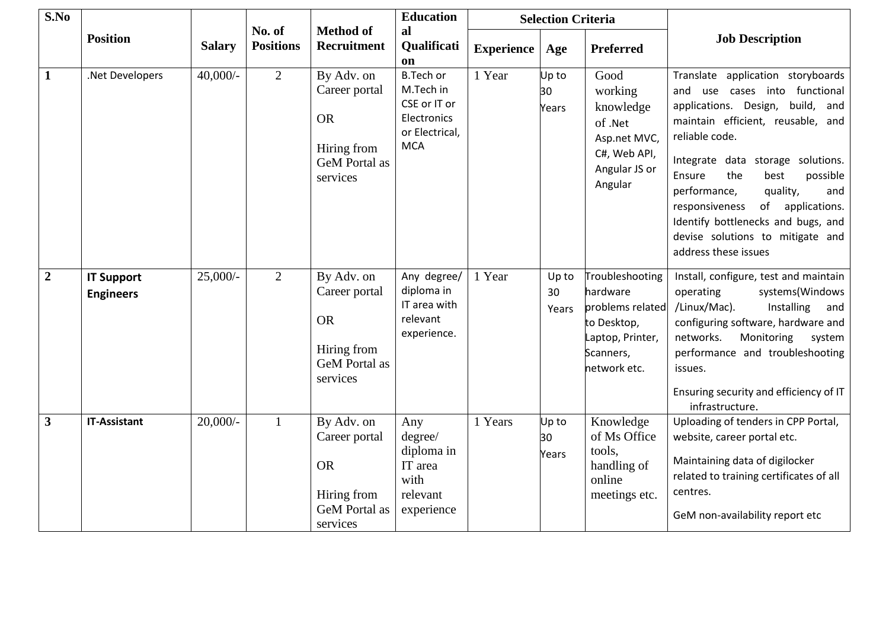| S.No           |                                       |               |                            |                                                                                             | <b>Education</b>                                                                             | <b>Selection Criteria</b> |                      |                                                                                                                 |                                                                                                                                                                                                                                                                                                                                                                                                                          |
|----------------|---------------------------------------|---------------|----------------------------|---------------------------------------------------------------------------------------------|----------------------------------------------------------------------------------------------|---------------------------|----------------------|-----------------------------------------------------------------------------------------------------------------|--------------------------------------------------------------------------------------------------------------------------------------------------------------------------------------------------------------------------------------------------------------------------------------------------------------------------------------------------------------------------------------------------------------------------|
|                | <b>Position</b>                       | <b>Salary</b> | No. of<br><b>Positions</b> | <b>Method of</b><br>Recruitment                                                             | al<br>Qualificati<br>on                                                                      | <b>Experience</b>         | Age                  | <b>Preferred</b>                                                                                                | <b>Job Description</b>                                                                                                                                                                                                                                                                                                                                                                                                   |
| $\mathbf{1}$   | .Net Developers                       | $40,000/-$    | 2                          | By Adv. on<br>Career portal<br><b>OR</b><br>Hiring from<br><b>GeM</b> Portal as<br>services | <b>B.Tech or</b><br>M.Tech in<br>CSE or IT or<br>Electronics<br>or Electrical,<br><b>MCA</b> | 1 Year                    | Up to<br>30<br>Years | Good<br>working<br>knowledge<br>of .Net<br>Asp.net MVC,<br>C#, Web API,<br>Angular JS or<br>Angular             | Translate application storyboards<br>use cases into functional<br>and<br>applications. Design, build, and<br>maintain efficient, reusable, and<br>reliable code.<br>Integrate data storage solutions.<br>the<br>possible<br>Ensure<br>best<br>performance,<br>quality,<br>and<br>responsiveness<br>of<br>applications.<br>Identify bottlenecks and bugs, and<br>devise solutions to mitigate and<br>address these issues |
| $\overline{2}$ | <b>IT Support</b><br><b>Engineers</b> | $25,000/$ -   | $\overline{2}$             | By Adv. on<br>Career portal<br><b>OR</b><br>Hiring from<br><b>GeM</b> Portal as<br>services | Any degree/<br>diploma in<br>IT area with<br>relevant<br>experience.                         | 1 Year                    | Up to<br>30<br>Years | Troubleshooting<br>hardware<br>problems related<br>to Desktop,<br>Laptop, Printer,<br>Scanners,<br>network etc. | Install, configure, test and maintain<br>operating<br>systems(Windows<br>/Linux/Mac).<br>Installing<br>and<br>configuring software, hardware and<br>networks.<br>Monitoring<br>system<br>performance and troubleshooting<br>issues.<br>Ensuring security and efficiency of IT<br>infrastructure.                                                                                                                         |
| $\mathbf{3}$   | <b>IT-Assistant</b>                   | $20,000/$ -   | $\mathbf{1}$               | By Adv. on<br>Career portal<br><b>OR</b><br>Hiring from<br><b>GeM</b> Portal as<br>services | Any<br>degree/<br>diploma in<br>IT area<br>with<br>relevant<br>experience                    | 1 Years                   | Up to<br>30<br>Years | Knowledge<br>of Ms Office<br>tools,<br>handling of<br>online<br>meetings etc.                                   | Uploading of tenders in CPP Portal,<br>website, career portal etc.<br>Maintaining data of digilocker<br>related to training certificates of all<br>centres.<br>GeM non-availability report etc                                                                                                                                                                                                                           |